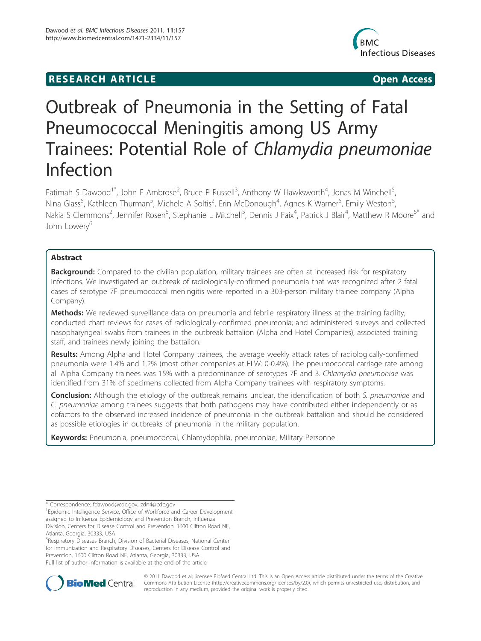## **RESEARCH ARTICLE Example 2018 CONSUMING ACCESS**



# Outbreak of Pneumonia in the Setting of Fatal Pneumococcal Meningitis among US Army Trainees: Potential Role of Chlamydia pneumoniae Infection

Fatimah S Dawood<sup>1\*</sup>, John F Ambrose<sup>2</sup>, Bruce P Russell<sup>3</sup>, Anthony W Hawksworth<sup>4</sup>, Jonas M Winchell<sup>5</sup> , Nina Glass<sup>5</sup>, Kathleen Thurman<sup>5</sup>, Michele A Soltis<sup>2</sup>, Erin McDonough<sup>4</sup>, Agnes K Warner<sup>5</sup>, Emily Weston<sup>5</sup> , Nakia S Clemmons<sup>2</sup>, Jennifer Rosen<sup>5</sup>, Stephanie L Mitchell<sup>5</sup>, Dennis J Faix<sup>4</sup>, Patrick J Blair<sup>4</sup>, Matthew R Moore<sup>5\*</sup> and John Lowerv<sup>6</sup>

## Abstract

Background: Compared to the civilian population, military trainees are often at increased risk for respiratory infections. We investigated an outbreak of radiologically-confirmed pneumonia that was recognized after 2 fatal cases of serotype 7F pneumococcal meningitis were reported in a 303-person military trainee company (Alpha Company).

Methods: We reviewed surveillance data on pneumonia and febrile respiratory illness at the training facility; conducted chart reviews for cases of radiologically-confirmed pneumonia; and administered surveys and collected nasopharyngeal swabs from trainees in the outbreak battalion (Alpha and Hotel Companies), associated training staff, and trainees newly joining the battalion.

Results: Among Alpha and Hotel Company trainees, the average weekly attack rates of radiologically-confirmed pneumonia were 1.4% and 1.2% (most other companies at FLW: 0-0.4%). The pneumococcal carriage rate among all Alpha Company trainees was 15% with a predominance of serotypes 7F and 3. Chlamydia pneumoniae was identified from 31% of specimens collected from Alpha Company trainees with respiratory symptoms.

Conclusion: Although the etiology of the outbreak remains unclear, the identification of both S. pneumoniae and C. pneumoniae among trainees suggests that both pathogens may have contributed either independently or as cofactors to the observed increased incidence of pneumonia in the outbreak battalion and should be considered as possible etiologies in outbreaks of pneumonia in the military population.

Keywords: Pneumonia, pneumococcal, Chlamydophila, pneumoniae, Military Personnel

5 Respiratory Diseases Branch, Division of Bacterial Diseases, National Center for Immunization and Respiratory Diseases, Centers for Disease Control and Prevention, 1600 Clifton Road NE, Atlanta, Georgia, 30333, USA Full list of author information is available at the end of the article



© 2011 Dawood et al; licensee BioMed Central Ltd. This is an Open Access article distributed under the terms of the Creative Commons Attribution License (http://creativecommons.org/licenses/by/2.0), which permits unrestricted use, distribution, and reproduction in any medium, provided the original work is properly cited.

<sup>\*</sup> Correspondence: fdawood@cdc.gov; zdn4@cdc.gov

<sup>&</sup>lt;sup>1</sup>Epidemic Intelligence Service, Office of Workforce and Career Development assigned to Influenza Epidemiology and Prevention Branch, Influenza Division, Centers for Disease Control and Prevention, 1600 Clifton Road NE, Atlanta, Georgia, 30333, USA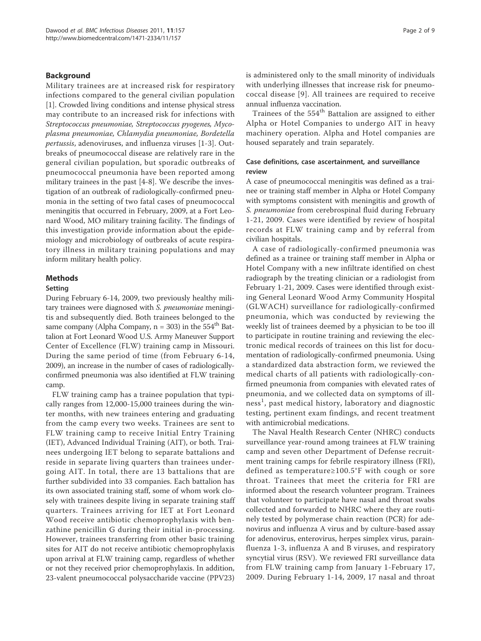#### Background

Military trainees are at increased risk for respiratory infections compared to the general civilian population [1]. Crowded living conditions and intense physical stress may contribute to an increased risk for infections with Streptococcus pneumoniae, Streptococcus pyogenes, Mycoplasma pneumoniae, Chlamydia pneumoniae, Bordetella pertussis, adenoviruses, and influenza viruses [1-3]. Outbreaks of pneumococcal disease are relatively rare in the general civilian population, but sporadic outbreaks of pneumococcal pneumonia have been reported among military trainees in the past [4-8]. We describe the investigation of an outbreak of radiologically-confirmed pneumonia in the setting of two fatal cases of pneumococcal meningitis that occurred in February, 2009, at a Fort Leonard Wood, MO military training facility. The findings of this investigation provide information about the epidemiology and microbiology of outbreaks of acute respiratory illness in military training populations and may inform military health policy.

## Methods

### Setting

During February 6-14, 2009, two previously healthy military trainees were diagnosed with S. pneumoniae meningitis and subsequently died. Both trainees belonged to the same company (Alpha Company,  $n = 303$ ) in the 554<sup>th</sup> Battalion at Fort Leonard Wood U.S. Army Maneuver Support Center of Excellence (FLW) training camp in Missouri. During the same period of time (from February 6-14, 2009), an increase in the number of cases of radiologicallyconfirmed pneumonia was also identified at FLW training camp.

FLW training camp has a trainee population that typically ranges from 12,000-15,000 trainees during the winter months, with new trainees entering and graduating from the camp every two weeks. Trainees are sent to FLW training camp to receive Initial Entry Training (IET), Advanced Individual Training (AIT), or both. Trainees undergoing IET belong to separate battalions and reside in separate living quarters than trainees undergoing AIT. In total, there are 13 battalions that are further subdivided into 33 companies. Each battalion has its own associated training staff, some of whom work closely with trainees despite living in separate training staff quarters. Trainees arriving for IET at Fort Leonard Wood receive antibiotic chemoprophylaxis with benzathine penicillin G during their initial in-processing. However, trainees transferring from other basic training sites for AIT do not receive antibiotic chemoprophylaxis upon arrival at FLW training camp, regardless of whether or not they received prior chemoprophylaxis. In addition, 23-valent pneumococcal polysaccharide vaccine (PPV23) is administered only to the small minority of individuals with underlying illnesses that increase risk for pneumococcal disease [9]. All trainees are required to receive annual influenza vaccination.

Trainees of the  $554^{\text{th}}$  Battalion are assigned to either Alpha or Hotel Companies to undergo AIT in heavy machinery operation. Alpha and Hotel companies are housed separately and train separately.

#### Case definitions, case ascertainment, and surveillance review

A case of pneumococcal meningitis was defined as a trainee or training staff member in Alpha or Hotel Company with symptoms consistent with meningitis and growth of S. pneumoniae from cerebrospinal fluid during February 1-21, 2009. Cases were identified by review of hospital records at FLW training camp and by referral from civilian hospitals.

A case of radiologically-confirmed pneumonia was defined as a trainee or training staff member in Alpha or Hotel Company with a new infiltrate identified on chest radiograph by the treating clinician or a radiologist from February 1-21, 2009. Cases were identified through existing General Leonard Wood Army Community Hospital (GLWACH) surveillance for radiologically-confirmed pneumonia, which was conducted by reviewing the weekly list of trainees deemed by a physician to be too ill to participate in routine training and reviewing the electronic medical records of trainees on this list for documentation of radiologically-confirmed pneumonia. Using a standardized data abstraction form, we reviewed the medical charts of all patients with radiologically-confirmed pneumonia from companies with elevated rates of pneumonia, and we collected data on symptoms of illness<sup>1</sup>, past medical history, laboratory and diagnostic testing, pertinent exam findings, and recent treatment with antimicrobial medications.

The Naval Health Research Center (NHRC) conducts surveillance year-round among trainees at FLW training camp and seven other Department of Defense recruitment training camps for febrile respiratory illness (FRI), defined as temperature≥100.5°F with cough or sore throat. Trainees that meet the criteria for FRI are informed about the research volunteer program. Trainees that volunteer to participate have nasal and throat swabs collected and forwarded to NHRC where they are routinely tested by polymerase chain reaction (PCR) for adenovirus and influenza A virus and by culture-based assay for adenovirus, enterovirus, herpes simplex virus, parainfluenza 1-3, influenza A and B viruses, and respiratory syncytial virus (RSV). We reviewed FRI surveillance data from FLW training camp from January 1-February 17, 2009. During February 1-14, 2009, 17 nasal and throat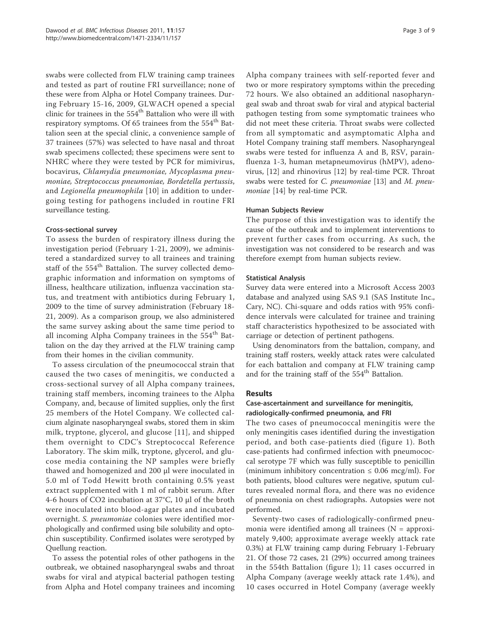swabs were collected from FLW training camp trainees and tested as part of routine FRI surveillance; none of these were from Alpha or Hotel Company trainees. During February 15-16, 2009, GLWACH opened a special clinic for trainees in the  $554<sup>th</sup>$  Battalion who were ill with respiratory symptoms. Of 65 trainees from the 554<sup>th</sup> Battalion seen at the special clinic, a convenience sample of 37 trainees (57%) was selected to have nasal and throat swab specimens collected; these specimens were sent to NHRC where they were tested by PCR for mimivirus, bocavirus, Chlamydia pneumoniae, Mycoplasma pneumoniae, Streptococcus pneumoniae, Bordetella pertussis, and Legionella pneumophila [10] in addition to undergoing testing for pathogens included in routine FRI surveillance testing.

#### Cross-sectional survey

To assess the burden of respiratory illness during the investigation period (February 1-21, 2009), we administered a standardized survey to all trainees and training staff of the 554<sup>th</sup> Battalion. The survey collected demographic information and information on symptoms of illness, healthcare utilization, influenza vaccination status, and treatment with antibiotics during February 1, 2009 to the time of survey administration (February 18- 21, 2009). As a comparison group, we also administered the same survey asking about the same time period to all incoming Alpha Company trainees in the 554<sup>th</sup> Battalion on the day they arrived at the FLW training camp from their homes in the civilian community.

To assess circulation of the pneumococcal strain that caused the two cases of meningitis, we conducted a cross-sectional survey of all Alpha company trainees, training staff members, incoming trainees to the Alpha Company, and, because of limited supplies, only the first 25 members of the Hotel Company. We collected calcium alginate nasopharyngeal swabs, stored them in skim milk, tryptone, glycerol, and glucose [11], and shipped them overnight to CDC's Streptococcal Reference Laboratory. The skim milk, tryptone, glycerol, and glucose media containing the NP samples were briefly thawed and homogenized and 200 μl were inoculated in 5.0 ml of Todd Hewitt broth containing 0.5% yeast extract supplemented with 1 ml of rabbit serum. After 4-6 hours of CO2 incubation at 37°C, 10 μl of the broth were inoculated into blood-agar plates and incubated overnight. S. pneumoniae colonies were identified morphologically and confirmed using bile solubility and optochin susceptibility. Confirmed isolates were serotyped by Quellung reaction.

To assess the potential roles of other pathogens in the outbreak, we obtained nasopharyngeal swabs and throat swabs for viral and atypical bacterial pathogen testing from Alpha and Hotel company trainees and incoming

Alpha company trainees with self-reported fever and two or more respiratory symptoms within the preceding 72 hours. We also obtained an additional nasopharyngeal swab and throat swab for viral and atypical bacterial pathogen testing from some symptomatic trainees who did not meet these criteria. Throat swabs were collected from all symptomatic and asymptomatic Alpha and Hotel Company training staff members. Nasopharyngeal swabs were tested for influenza A and B, RSV, parainfluenza 1-3, human metapneumovirus (hMPV), adenovirus, [12] and rhinovirus [12] by real-time PCR. Throat swabs were tested for *C. pneumoniae* [13] and *M. pneu*moniae [14] by real-time PCR.

#### Human Subjects Review

The purpose of this investigation was to identify the cause of the outbreak and to implement interventions to prevent further cases from occurring. As such, the investigation was not considered to be research and was therefore exempt from human subjects review.

#### Statistical Analysis

Survey data were entered into a Microsoft Access 2003 database and analyzed using SAS 9.1 (SAS Institute Inc., Cary, NC). Chi-square and odds ratios with 95% confidence intervals were calculated for trainee and training staff characteristics hypothesized to be associated with carriage or detection of pertinent pathogens.

Using denominators from the battalion, company, and training staff rosters, weekly attack rates were calculated for each battalion and company at FLW training camp and for the training staff of the 554<sup>th</sup> Battalion.

#### Results

#### Case-ascertainment and surveillance for meningitis, radiologically-confirmed pneumonia, and FRI

The two cases of pneumococcal meningitis were the only meningitis cases identified during the investigation period, and both case-patients died (figure 1). Both case-patients had confirmed infection with pneumococcal serotype 7F which was fully susceptible to penicillin (minimum inhibitory concentration  $\leq$  0.06 mcg/ml). For both patients, blood cultures were negative, sputum cultures revealed normal flora, and there was no evidence of pneumonia on chest radiographs. Autopsies were not performed.

Seventy-two cases of radiologically-confirmed pneumonia were identified among all trainees  $(N =$ approximately 9,400; approximate average weekly attack rate 0.3%) at FLW training camp during February 1-February 21. Of those 72 cases, 21 (29%) occurred among trainees in the 554th Battalion (figure 1); 11 cases occurred in Alpha Company (average weekly attack rate 1.4%), and 10 cases occurred in Hotel Company (average weekly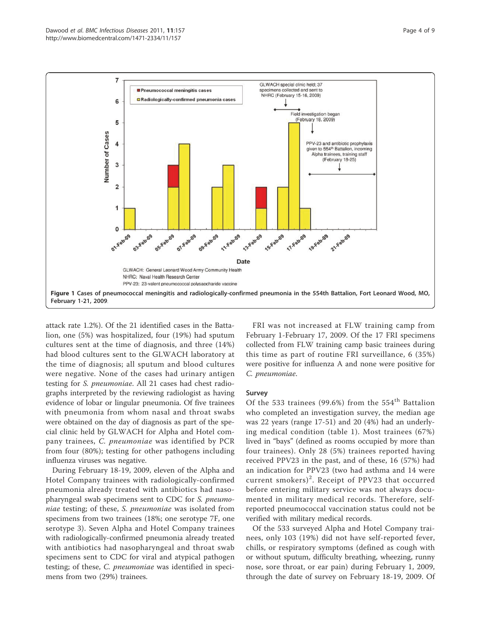

attack rate 1.2%). Of the 21 identified cases in the Battalion, one (5%) was hospitalized, four (19%) had sputum cultures sent at the time of diagnosis, and three (14%) had blood cultures sent to the GLWACH laboratory at the time of diagnosis; all sputum and blood cultures were negative. None of the cases had urinary antigen testing for S. pneumoniae. All 21 cases had chest radiographs interpreted by the reviewing radiologist as having evidence of lobar or lingular pneumonia. Of five trainees with pneumonia from whom nasal and throat swabs were obtained on the day of diagnosis as part of the special clinic held by GLWACH for Alpha and Hotel company trainees, C. pneumoniae was identified by PCR from four (80%); testing for other pathogens including influenza viruses was negative.

During February 18-19, 2009, eleven of the Alpha and Hotel Company trainees with radiologically-confirmed pneumonia already treated with antibiotics had nasopharyngeal swab specimens sent to CDC for S. pneumoniae testing; of these, S. pneumoniae was isolated from specimens from two trainees (18%; one serotype 7F, one serotype 3). Seven Alpha and Hotel Company trainees with radiologically-confirmed pneumonia already treated with antibiotics had nasopharyngeal and throat swab specimens sent to CDC for viral and atypical pathogen testing; of these, C. pneumoniae was identified in specimens from two (29%) trainees.

FRI was not increased at FLW training camp from February 1-February 17, 2009. Of the 17 FRI specimens collected from FLW training camp basic trainees during this time as part of routine FRI surveillance, 6 (35%) were positive for influenza A and none were positive for C. pneumoniae.

#### Survey

Of the 533 trainees (99.6%) from the  $554<sup>th</sup>$  Battalion who completed an investigation survey, the median age was 22 years (range 17-51) and 20 (4%) had an underlying medical condition (table 1). Most trainees (67%) lived in "bays" (defined as rooms occupied by more than four trainees). Only 28 (5%) trainees reported having received PPV23 in the past, and of these, 16 (57%) had an indication for PPV23 (two had asthma and 14 were current smokers)<sup>2</sup>. Receipt of PPV23 that occurred before entering military service was not always documented in military medical records. Therefore, selfreported pneumococcal vaccination status could not be verified with military medical records.

Of the 533 surveyed Alpha and Hotel Company trainees, only 103 (19%) did not have self-reported fever, chills, or respiratory symptoms (defined as cough with or without sputum, difficulty breathing, wheezing, runny nose, sore throat, or ear pain) during February 1, 2009, through the date of survey on February 18-19, 2009. Of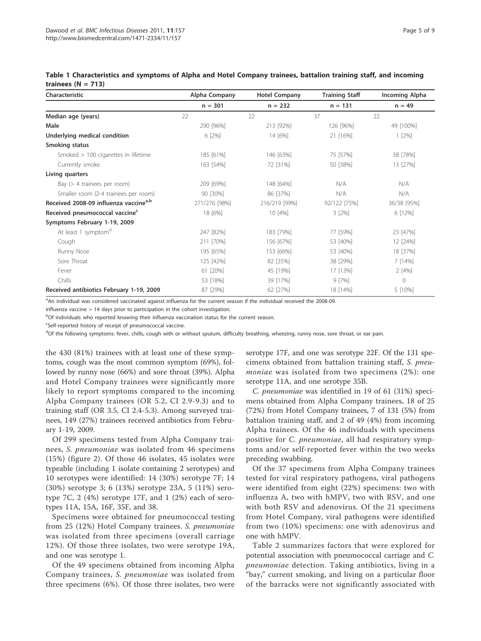| Characteristic                             | Alpha Company | <b>Hotel Company</b> | <b>Training Staff</b> | Incoming Alpha |
|--------------------------------------------|---------------|----------------------|-----------------------|----------------|
|                                            | $n = 301$     | $n = 232$            | $n = 131$             | $n = 49$       |
| Median age (years)                         | 22            | 22                   | 37                    | 22             |
| Male                                       | 290 [96%]     | 213 [92%]            | 126 [96%]             | 49 [100%]      |
| Underlying medical condition               | 6 [2%]        | 14 [6%]              | 21 [16%]              | $1[2\%]$       |
| Smoking status                             |               |                      |                       |                |
| Smoked $> 100$ cigarettes in lifetime      | 185 [61%]     | 146 [63%]            | 75 [57%]              | 38 [78%]       |
| Currently smoke                            | 163 [54%]     | 72 [31%]             | 50 [38%]              | 13 [27%]       |
| Living quarters                            |               |                      |                       |                |
| Bay $(> 4$ trainees per room)              | 209 [69%]     | 148 [64%]            | N/A                   | N/A            |
| Smaller room (2-4 trainees per room)       | 90 [30%]      | 86 [37%]             | N/A                   | N/A            |
| Received 2008-09 influenza vaccinea,b      | 271/276 [98%] | 216/219 [99%]        | 92/122 [75%]          | 36/38 [95%]    |
| Received pneumococcal vaccine <sup>c</sup> | 18 [6%]       | 10 [4%]              | $3 [2\%]$             | 6 [12%]        |
| Symptoms February 1-19, 2009               |               |                      |                       |                |
| At least 1 symptom <sup>d</sup>            | 247 [82%]     | 183 [79%]            | 77 [59%]              | 23 [47%]       |
| Cough                                      | 211 [70%]     | 156 [67%]            | 53 [40%]              | 12 [24%]       |
| Runny Nose                                 | 195 [65%]     | 153 [66%]            | 53 [40%]              | 18 [37%]       |
| Sore Throat                                | 125 [42%]     | 82 [35%]             | 38 [29%]              | 7 [14%]        |
| Fever                                      | 61 [20%]      | 45 [19%]             | 17 [13%]              | 2[4%]          |
| Chills                                     | 53 [18%]      | 39 [17%]             | 9 [7%]                | $\overline{0}$ |
| Received antibiotics February 1-19, 2009   | 87 [29%]      | 62 [27%]             | 18 [14%]              | 5 [10%]        |

#### Table 1 Characteristics and symptoms of Alpha and Hotel Company trainees, battalion training staff, and incoming trainees  $(N = 713)$

<sup>a</sup>An individual was considered vaccinated against influenza for the current season if the individual received the 2008-09.

influenza vaccine > 14 days prior to participation in the cohort investigation.

<sup>b</sup>Of individuals who reported knowing their influenza vaccination status for the current season.

<sup>c</sup>Self-reported history of receipt of pneumococcal vaccine.

<sup>d</sup>Of the following symptoms: fever, chills, cough with or without sputum, difficulty breathing, wheezing, runny nose, sore throat, or ear pain.

the 430 (81%) trainees with at least one of these symptoms, cough was the most common symptom (69%), followed by runny nose (66%) and sore throat (39%). Alpha and Hotel Company trainees were significantly more likely to report symptoms compared to the incoming Alpha Company trainees (OR 5.2, CI 2.9-9.3) and to training staff (OR 3.5, CI 2.4-5.3). Among surveyed trainees, 149 (27%) trainees received antibiotics from February 1-19, 2009.

Of 299 specimens tested from Alpha Company trainees, S. pneumoniae was isolated from 46 specimens (15%) (figure 2). Of those 46 isolates, 45 isolates were typeable (including 1 isolate containing 2 serotypes) and 10 serotypes were identified: 14 (30%) serotype 7F; 14 (30%) serotype 3; 6 (13%) serotype 23A, 5 (11%) serotype 7C, 2 (4%) serotype 17F, and 1 (2%) each of serotypes 11A, 15A, 16F, 35F, and 38.

Specimens were obtained for pneumococcal testing from 25 (12%) Hotel Company trainees. S. pneumoniae was isolated from three specimens (overall carriage 12%). Of those three isolates, two were serotype 19A, and one was serotype 1.

Of the 49 specimens obtained from incoming Alpha Company trainees, S. pneumoniae was isolated from three specimens (6%). Of those three isolates, two were serotype 17F, and one was serotype 22F. Of the 131 specimens obtained from battalion training staff, S. pneumoniae was isolated from two specimens (2%): one serotype 11A, and one serotype 35B.

C. pneumoniae was identified in 19 of 61 (31%) specimens obtained from Alpha Company trainees, 18 of 25 (72%) from Hotel Company trainees, 7 of 131 (5%) from battalion training staff, and 2 of 49 (4%) from incoming Alpha trainees. Of the 46 individuals with specimens positive for C. pneumoniae, all had respiratory symptoms and/or self-reported fever within the two weeks preceding swabbing.

Of the 37 specimens from Alpha Company trainees tested for viral respiratory pathogens, viral pathogens were identified from eight (22%) specimens: two with influenza A, two with hMPV, two with RSV, and one with both RSV and adenovirus. Of the 21 specimens from Hotel Company, viral pathogens were identified from two (10%) specimens: one with adenovirus and one with hMPV.

Table 2 summarizes factors that were explored for potential association with pneumococcal carriage and C. pneumoniae detection. Taking antibiotics, living in a "bay," current smoking, and living on a particular floor of the barracks were not significantly associated with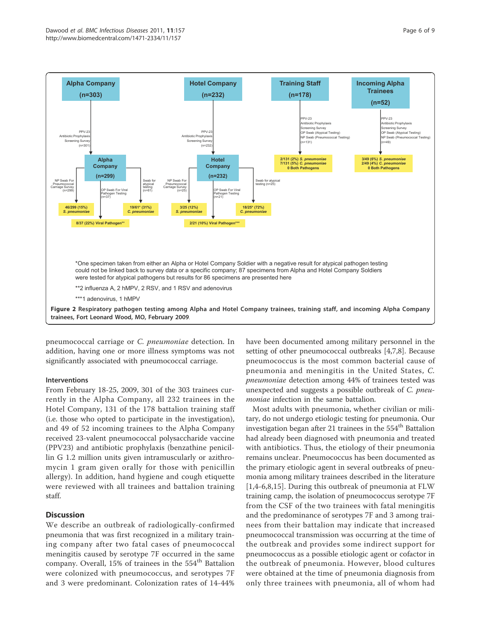

pneumococcal carriage or C. pneumoniae detection. In addition, having one or more illness symptoms was not significantly associated with pneumococcal carriage.

#### Interventions

From February 18-25, 2009, 301 of the 303 trainees currently in the Alpha Company, all 232 trainees in the Hotel Company, 131 of the 178 battalion training staff (i.e. those who opted to participate in the investigation), and 49 of 52 incoming trainees to the Alpha Company received 23-valent pneumococcal polysaccharide vaccine (PPV23) and antibiotic prophylaxis (benzathine penicillin G 1.2 million units given intramuscularly or azithromycin 1 gram given orally for those with penicillin allergy). In addition, hand hygiene and cough etiquette were reviewed with all trainees and battalion training staff.

#### **Discussion**

We describe an outbreak of radiologically-confirmed pneumonia that was first recognized in a military training company after two fatal cases of pneumococcal meningitis caused by serotype 7F occurred in the same company. Overall, 15% of trainees in the 554<sup>th</sup> Battalion were colonized with pneumococcus, and serotypes 7F and 3 were predominant. Colonization rates of 14-44%

have been documented among military personnel in the setting of other pneumococcal outbreaks [4,7,8]. Because pneumococcus is the most common bacterial cause of pneumonia and meningitis in the United States, C. pneumoniae detection among 44% of trainees tested was unexpected and suggests a possible outbreak of C. pneumoniae infection in the same battalion.

Most adults with pneumonia, whether civilian or military, do not undergo etiologic testing for pneumonia. Our investigation began after 21 trainees in the  $554<sup>th</sup>$  Battalion had already been diagnosed with pneumonia and treated with antibiotics. Thus, the etiology of their pneumonia remains unclear. Pneumococcus has been documented as the primary etiologic agent in several outbreaks of pneumonia among military trainees described in the literature [1,4-6,8,15]. During this outbreak of pneumonia at FLW training camp, the isolation of pneumococcus serotype 7F from the CSF of the two trainees with fatal meningitis and the predominance of serotypes 7F and 3 among trainees from their battalion may indicate that increased pneumococcal transmission was occurring at the time of the outbreak and provides some indirect support for pneumococcus as a possible etiologic agent or cofactor in the outbreak of pneumonia. However, blood cultures were obtained at the time of pneumonia diagnosis from only three trainees with pneumonia, all of whom had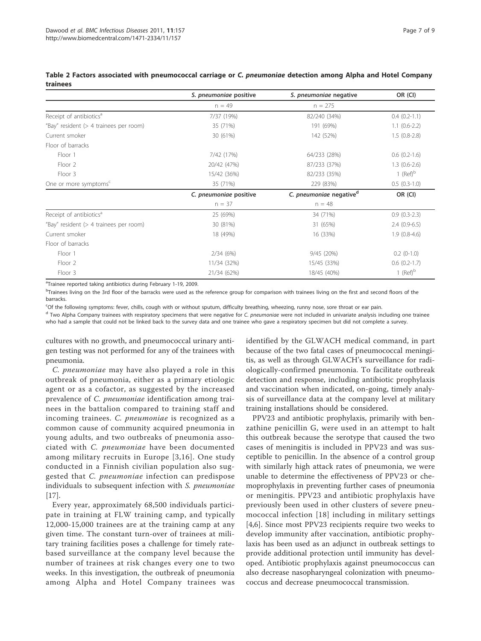|                                           | S. pneumoniae positive | S. pneumoniae negative              | OR (CI)           |
|-------------------------------------------|------------------------|-------------------------------------|-------------------|
|                                           | $n = 49$               | $n = 275$                           |                   |
| Receipt of antibiotics <sup>a</sup>       | 7/37 (19%)             | 82/240 (34%)                        | $0.4(0.2-1.1)$    |
| "Bay" resident ( $>$ 4 trainees per room) | 35 (71%)               | 191 (69%)                           | $1.1(0.6-2.2)$    |
| Current smoker                            | 30 (61%)               | 142 (52%)                           | $1.5(0.8-2.8)$    |
| Floor of barracks                         |                        |                                     |                   |
| Floor 1                                   | 7/42 (17%)             | 64/233 (28%)                        | $0.6$ $(0.2-1.6)$ |
| Floor 2                                   | 20/42 (47%)            | 87/233 (37%)                        | $1.3(0.6-2.6)$    |
| Floor 3                                   | 15/42 (36%)            | 82/233 (35%)                        | 1 $(Ref)^b$       |
| One or more symptoms                      | 35 (71%)               | 229 (83%)                           | $0.5(0.3-1.0)$    |
|                                           | C. pneumoniae positive | C. pneumoniae negative <sup>d</sup> | OR (CI)           |
|                                           | $n = 37$               | $n = 48$                            |                   |
| Receipt of antibiotics <sup>a</sup>       | 25 (69%)               | 34 (71%)                            | $0.9(0.3-2.3)$    |
| "Bay" resident ( $>$ 4 trainees per room) | 30 (81%)               | 31 (65%)                            | $2.4(0.9-6.5)$    |
| Current smoker                            | 18 (49%)               | 16 (33%)                            | $1.9(0.8-4.6)$    |
| Floor of barracks                         |                        |                                     |                   |
| Floor 1                                   | 2/34(6%)               | 9/45(20%)                           | $0.2$ (0-1.0)     |
| Floor 2                                   | 11/34 (32%)            | 15/45 (33%)                         | $0.6$ $(0.2-1.7)$ |
| Floor 3                                   | 21/34 (62%)            | 18/45 (40%)                         | 1 $(Ref)^b$       |

Table 2 Factors associated with pneumococcal carriage or C. pneumoniae detection among Alpha and Hotel Company trainees

<sup>a</sup>Trainee reported taking antibiotics during February 1-19, 2009.

bTrainees living on the 3rd floor of the barracks were used as the reference group for comparison with trainees living on the first and second floors of the barracks.

c Of the following symptoms: fever, chills, cough with or without sputum, difficulty breathing, wheezing, runny nose, sore throat or ear pain.

 $d$  Two Alpha Company trainees with respiratory specimens that were negative for C. pneumoniae were not included in univariate analysis including one trainee who had a sample that could not be linked back to the survey data and one trainee who gave a respiratory specimen but did not complete a survey.

cultures with no growth, and pneumococcal urinary antigen testing was not performed for any of the trainees with pneumonia.

C. pneumoniae may have also played a role in this outbreak of pneumonia, either as a primary etiologic agent or as a cofactor, as suggested by the increased prevalence of C. pneumoniae identification among trainees in the battalion compared to training staff and incoming trainees. C. pneumoniae is recognized as a common cause of community acquired pneumonia in young adults, and two outbreaks of pneumonia associated with C. pneumoniae have been documented among military recruits in Europe [3,16]. One study conducted in a Finnish civilian population also suggested that C. pneumoniae infection can predispose individuals to subsequent infection with S. pneumoniae [17].

Every year, approximately 68,500 individuals participate in training at FLW training camp, and typically 12,000-15,000 trainees are at the training camp at any given time. The constant turn-over of trainees at military training facilities poses a challenge for timely ratebased surveillance at the company level because the number of trainees at risk changes every one to two weeks. In this investigation, the outbreak of pneumonia among Alpha and Hotel Company trainees was identified by the GLWACH medical command, in part because of the two fatal cases of pneumococcal meningitis, as well as through GLWACH's surveillance for radiologically-confirmed pneumonia. To facilitate outbreak detection and response, including antibiotic prophylaxis and vaccination when indicated, on-going, timely analysis of surveillance data at the company level at military training installations should be considered.

PPV23 and antibiotic prophylaxis, primarily with benzathine penicillin G, were used in an attempt to halt this outbreak because the serotype that caused the two cases of meningitis is included in PPV23 and was susceptible to penicillin. In the absence of a control group with similarly high attack rates of pneumonia, we were unable to determine the effectiveness of PPV23 or chemoprophylaxis in preventing further cases of pneumonia or meningitis. PPV23 and antibiotic prophylaxis have previously been used in other clusters of severe pneumococcal infection [18] including in military settings [4,6]. Since most PPV23 recipients require two weeks to develop immunity after vaccination, antibiotic prophylaxis has been used as an adjunct in outbreak settings to provide additional protection until immunity has developed. Antibiotic prophylaxis against pneumococcus can also decrease nasopharyngeal colonization with pneumococcus and decrease pneumococcal transmission.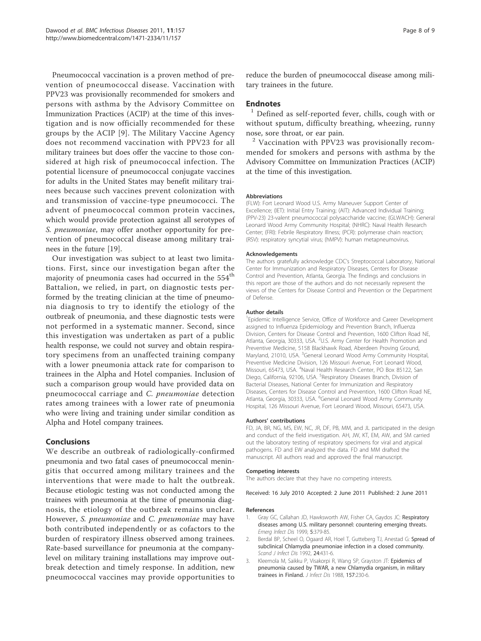Pneumococcal vaccination is a proven method of prevention of pneumococcal disease. Vaccination with PPV23 was provisionally recommended for smokers and persons with asthma by the Advisory Committee on Immunization Practices (ACIP) at the time of this investigation and is now officially recommended for these groups by the ACIP [9]. The Military Vaccine Agency does not recommend vaccination with PPV23 for all military trainees but does offer the vaccine to those considered at high risk of pneumococcal infection. The potential licensure of pneumococcal conjugate vaccines for adults in the United States may benefit military trainees because such vaccines prevent colonization with and transmission of vaccine-type pneumococci. The advent of pneumococcal common protein vaccines, which would provide protection against all serotypes of S. pneumoniae, may offer another opportunity for prevention of pneumococcal disease among military trainees in the future [19].

Our investigation was subject to at least two limitations. First, since our investigation began after the majority of pneumonia cases had occurred in the 554<sup>th</sup> Battalion, we relied, in part, on diagnostic tests performed by the treating clinician at the time of pneumonia diagnosis to try to identify the etiology of the outbreak of pneumonia, and these diagnostic tests were not performed in a systematic manner. Second, since this investigation was undertaken as part of a public health response, we could not survey and obtain respiratory specimens from an unaffected training company with a lower pneumonia attack rate for comparison to trainees in the Alpha and Hotel companies. Inclusion of such a comparison group would have provided data on pneumococcal carriage and C. pneumoniae detection rates among trainees with a lower rate of pneumonia who were living and training under similar condition as Alpha and Hotel company trainees.

#### Conclusions

We describe an outbreak of radiologically-confirmed pneumonia and two fatal cases of pneumococcal meningitis that occurred among military trainees and the interventions that were made to halt the outbreak. Because etiologic testing was not conducted among the trainees with pneumonia at the time of pneumonia diagnosis, the etiology of the outbreak remains unclear. However, S. pneumoniae and C. pneumoniae may have both contributed independently or as cofactors to the burden of respiratory illness observed among trainees. Rate-based surveillance for pneumonia at the companylevel on military training installations may improve outbreak detection and timely response. In addition, new pneumococcal vaccines may provide opportunities to

reduce the burden of pneumococcal disease among military trainees in the future.

#### Endnotes

 $1$  Defined as self-reported fever, chills, cough with or without sputum, difficulty breathing, wheezing, runny nose, sore throat, or ear pain.<br><sup>2</sup> Vaccination with PPV23 was provisionally recom-

mended for smokers and persons with asthma by the Advisory Committee on Immunization Practices (ACIP) at the time of this investigation.

#### Abbreviations

(FLW): Fort Leonard Wood U.S. Army Maneuver Support Center of Excellence; (IET): Initial Entry Training; (AIT): Advanced Individual Training; (PPV-23) 23-valent pneumococcal polysaccharide vaccine; (GLWACH): General Leonard Wood Army Community Hospital; (NHRC): Naval Health Research Center; (FRI): Febrile Respiratory Illness; (PCR): polymerase chain reaction; (RSV): respiratory syncytial virus; (hMPV): human metapneumovirus.

#### Acknowledgements

The authors gratefully acknowledge CDC's Streptococcal Laboratory, National Center for Immunization and Respiratory Diseases, Centers for Disease Control and Prevention, Atlanta, Georgia. The findings and conclusions in this report are those of the authors and do not necessarily represent the views of the Centers for Disease Control and Prevention or the Department of Defense.

#### Author details

<sup>1</sup> Epidemic Intelligence Service, Office of Workforce and Career Development assigned to Influenza Epidemiology and Prevention Branch, Influenza Division, Centers for Disease Control and Prevention, 1600 Clifton Road NE, Atlanta, Georgia, 30333, USA. <sup>2</sup>U.S. Army Center for Health Promotion and Preventive Medicine, 5158 Blackhawk Road, Aberdeen Proving Ground, Maryland, 21010, USA. <sup>3</sup>General Leonard Wood Army Community Hospital Preventive Medicine Division, 126 Missouri Avenue, Fort Leonard Wood, Missouri, 65473, USA. <sup>4</sup>Naval Health Research Center, PO Box 85122, San Diego, California, 92106, USA. <sup>5</sup>Respiratory Diseases Branch, Division of Bacterial Diseases, National Center for Immunization and Respiratory Diseases, Centers for Disease Control and Prevention, 1600 Clifton Road NE, Atlanta, Georgia, 30333, USA. <sup>6</sup>General Leonard Wood Army Community Hospital, 126 Missouri Avenue, Fort Leonard Wood, Missouri, 65473, USA.

#### Authors' contributions

FD, JA, BR, NG, MS, EW, NC, JR, DF, PB, MM, and JL participated in the design and conduct of the field investigation. AH, JW, KT, EM, AW, and SM carried out the laboratory testing of respiratory specimens for viral and atypical pathogens. FD and EW analyzed the data. FD and MM drafted the manuscript. All authors read and approved the final manuscript.

#### Competing interests

The authors declare that they have no competing interests.

Received: 16 July 2010 Accepted: 2 June 2011 Published: 2 June 2011

#### References

- 1. Gray GC, Callahan JD, Hawksworth AW, Fisher CA, Gaydos JC: Respiratory diseases among U.S. military personnel: countering emerging threats. Emerg Infect Dis 1999, 5:379-85.
- 2. Berdal BP, Scheel O, Ogaard AR, Hoel T, Gutteberg TJ, Anestad G: Spread of subclinical Chlamydia pneumoniae infection in a closed community. Scand J Infect Dis 1992, 24:431-6.
- 3. Kleemola M, Saikku P, Visakorpi R, Wang SP, Grayston JT: Epidemics of pneumonia caused by TWAR, a new Chlamydia organism, in military trainees in Finland. *Linfect Dis* 1988, 157:230-6.